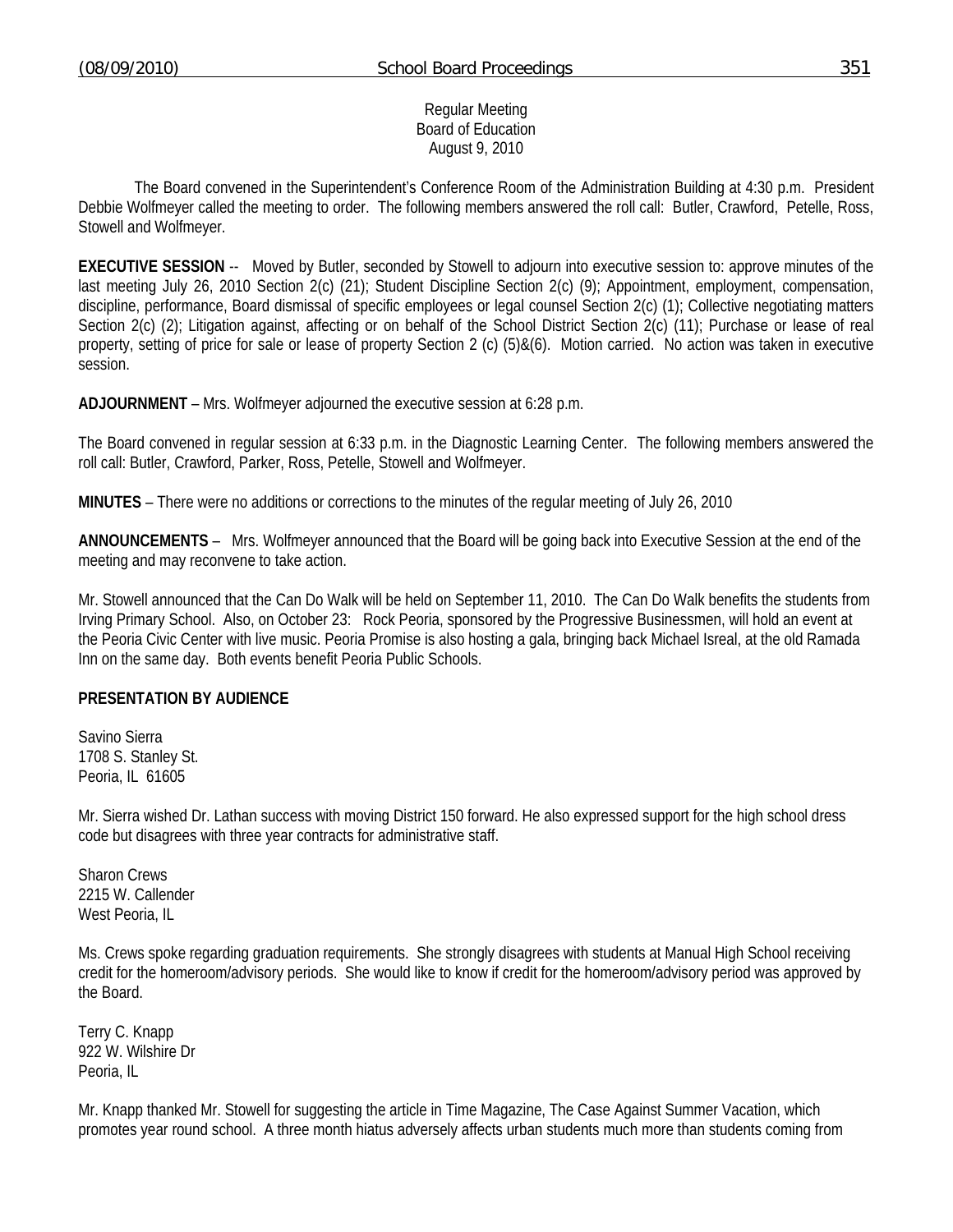#### Regular Meeting Board of Education August 9, 2010

 The Board convened in the Superintendent's Conference Room of the Administration Building at 4:30 p.m. President Debbie Wolfmeyer called the meeting to order. The following members answered the roll call: Butler, Crawford, Petelle, Ross, Stowell and Wolfmeyer.

**EXECUTIVE SESSION** -- Moved by Butler, seconded by Stowell to adjourn into executive session to: approve minutes of the last meeting July 26, 2010 Section 2(c) (21); Student Discipline Section 2(c) (9); Appointment, employment, compensation, discipline, performance, Board dismissal of specific employees or legal counsel Section 2(c) (1); Collective negotiating matters Section 2(c) (2); Litigation against, affecting or on behalf of the School District Section 2(c) (11); Purchase or lease of real property, setting of price for sale or lease of property Section 2 (c) (5)&(6). Motion carried. No action was taken in executive session.

**ADJOURNMENT** – Mrs. Wolfmeyer adjourned the executive session at 6:28 p.m.

The Board convened in regular session at 6:33 p.m. in the Diagnostic Learning Center. The following members answered the roll call: Butler, Crawford, Parker, Ross, Petelle, Stowell and Wolfmeyer.

**MINUTES** – There were no additions or corrections to the minutes of the regular meeting of July 26, 2010

**ANNOUNCEMENTS** – Mrs. Wolfmeyer announced that the Board will be going back into Executive Session at the end of the meeting and may reconvene to take action.

Mr. Stowell announced that the Can Do Walk will be held on September 11, 2010. The Can Do Walk benefits the students from Irving Primary School. Also, on October 23: Rock Peoria, sponsored by the Progressive Businessmen, will hold an event at the Peoria Civic Center with live music. Peoria Promise is also hosting a gala, bringing back Michael Isreal, at the old Ramada Inn on the same day. Both events benefit Peoria Public Schools.

### **PRESENTATION BY AUDIENCE**

Savino Sierra 1708 S. Stanley St. Peoria, IL 61605

Mr. Sierra wished Dr. Lathan success with moving District 150 forward. He also expressed support for the high school dress code but disagrees with three year contracts for administrative staff.

Sharon Crews 2215 W. Callender West Peoria, IL

Ms. Crews spoke regarding graduation requirements. She strongly disagrees with students at Manual High School receiving credit for the homeroom/advisory periods. She would like to know if credit for the homeroom/advisory period was approved by the Board.

Terry C. Knapp 922 W. Wilshire Dr Peoria, IL

Mr. Knapp thanked Mr. Stowell for suggesting the article in Time Magazine, The Case Against Summer Vacation, which promotes year round school. A three month hiatus adversely affects urban students much more than students coming from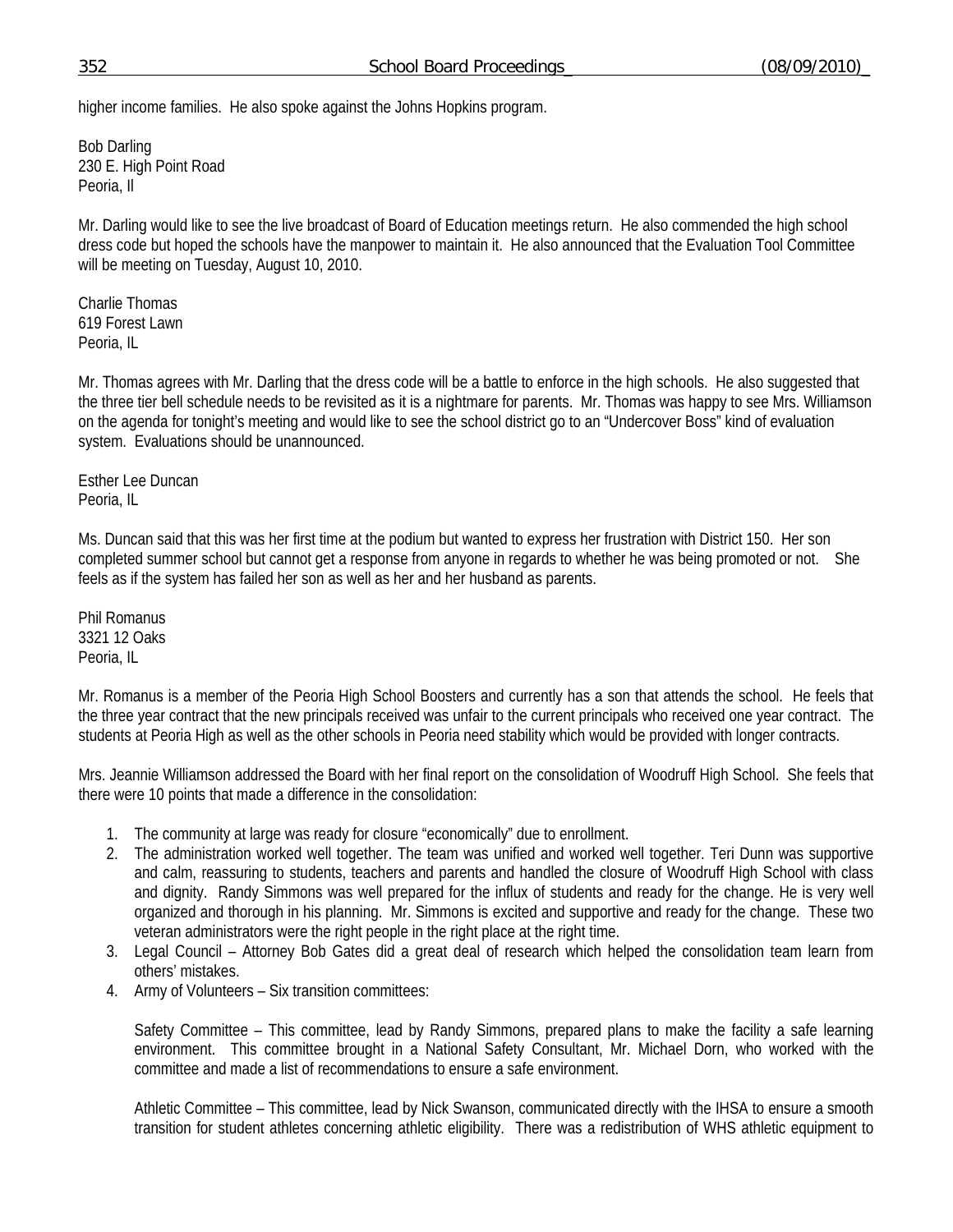higher income families. He also spoke against the Johns Hopkins program.

Bob Darling 230 E. High Point Road Peoria, Il

Mr. Darling would like to see the live broadcast of Board of Education meetings return. He also commended the high school dress code but hoped the schools have the manpower to maintain it. He also announced that the Evaluation Tool Committee will be meeting on Tuesday, August 10, 2010.

Charlie Thomas 619 Forest Lawn Peoria, IL

Mr. Thomas agrees with Mr. Darling that the dress code will be a battle to enforce in the high schools. He also suggested that the three tier bell schedule needs to be revisited as it is a nightmare for parents. Mr. Thomas was happy to see Mrs. Williamson on the agenda for tonight's meeting and would like to see the school district go to an "Undercover Boss" kind of evaluation system. Evaluations should be unannounced.

Esther Lee Duncan Peoria, IL

Ms. Duncan said that this was her first time at the podium but wanted to express her frustration with District 150. Her son completed summer school but cannot get a response from anyone in regards to whether he was being promoted or not. She feels as if the system has failed her son as well as her and her husband as parents.

Phil Romanus 3321 12 Oaks Peoria, IL

Mr. Romanus is a member of the Peoria High School Boosters and currently has a son that attends the school. He feels that the three year contract that the new principals received was unfair to the current principals who received one year contract. The students at Peoria High as well as the other schools in Peoria need stability which would be provided with longer contracts.

Mrs. Jeannie Williamson addressed the Board with her final report on the consolidation of Woodruff High School. She feels that there were 10 points that made a difference in the consolidation:

- 1. The community at large was ready for closure "economically" due to enrollment.
- 2. The administration worked well together. The team was unified and worked well together. Teri Dunn was supportive and calm, reassuring to students, teachers and parents and handled the closure of Woodruff High School with class and dignity. Randy Simmons was well prepared for the influx of students and ready for the change. He is very well organized and thorough in his planning. Mr. Simmons is excited and supportive and ready for the change. These two veteran administrators were the right people in the right place at the right time.
- 3. Legal Council Attorney Bob Gates did a great deal of research which helped the consolidation team learn from others' mistakes.
- 4. Army of Volunteers Six transition committees:

Safety Committee – This committee, lead by Randy Simmons, prepared plans to make the facility a safe learning environment. This committee brought in a National Safety Consultant, Mr. Michael Dorn, who worked with the committee and made a list of recommendations to ensure a safe environment.

Athletic Committee – This committee, lead by Nick Swanson, communicated directly with the IHSA to ensure a smooth transition for student athletes concerning athletic eligibility. There was a redistribution of WHS athletic equipment to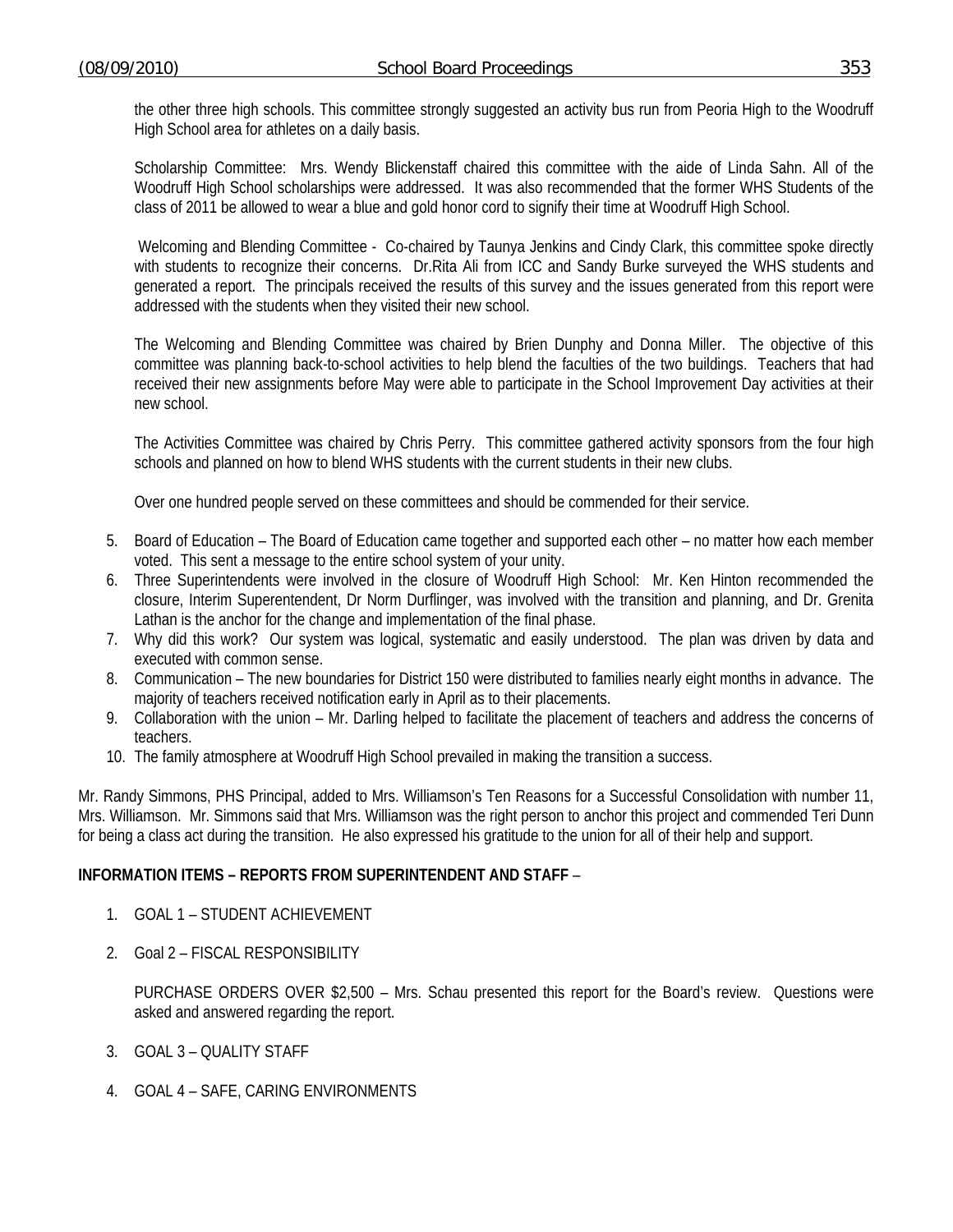the other three high schools. This committee strongly suggested an activity bus run from Peoria High to the Woodruff High School area for athletes on a daily basis.

Scholarship Committee: Mrs. Wendy Blickenstaff chaired this committee with the aide of Linda Sahn. All of the Woodruff High School scholarships were addressed. It was also recommended that the former WHS Students of the class of 2011 be allowed to wear a blue and gold honor cord to signify their time at Woodruff High School.

 Welcoming and Blending Committee - Co-chaired by Taunya Jenkins and Cindy Clark, this committee spoke directly with students to recognize their concerns. Dr.Rita Ali from ICC and Sandy Burke surveyed the WHS students and generated a report. The principals received the results of this survey and the issues generated from this report were addressed with the students when they visited their new school.

The Welcoming and Blending Committee was chaired by Brien Dunphy and Donna Miller. The objective of this committee was planning back-to-school activities to help blend the faculties of the two buildings. Teachers that had received their new assignments before May were able to participate in the School Improvement Day activities at their new school.

The Activities Committee was chaired by Chris Perry. This committee gathered activity sponsors from the four high schools and planned on how to blend WHS students with the current students in their new clubs.

Over one hundred people served on these committees and should be commended for their service.

- 5. Board of Education The Board of Education came together and supported each other no matter how each member voted. This sent a message to the entire school system of your unity.
- 6. Three Superintendents were involved in the closure of Woodruff High School: Mr. Ken Hinton recommended the closure, Interim Superentendent, Dr Norm Durflinger, was involved with the transition and planning, and Dr. Grenita Lathan is the anchor for the change and implementation of the final phase.
- 7. Why did this work? Our system was logical, systematic and easily understood. The plan was driven by data and executed with common sense.
- 8. Communication The new boundaries for District 150 were distributed to families nearly eight months in advance. The majority of teachers received notification early in April as to their placements.
- 9. Collaboration with the union Mr. Darling helped to facilitate the placement of teachers and address the concerns of teachers.
- 10. The family atmosphere at Woodruff High School prevailed in making the transition a success.

Mr. Randy Simmons, PHS Principal, added to Mrs. Williamson's Ten Reasons for a Successful Consolidation with number 11, Mrs. Williamson. Mr. Simmons said that Mrs. Williamson was the right person to anchor this project and commended Teri Dunn for being a class act during the transition. He also expressed his gratitude to the union for all of their help and support.

## **INFORMATION ITEMS – REPORTS FROM SUPERINTENDENT AND STAFF** –

- 1. GOAL 1 STUDENT ACHIEVEMENT
- 2. Goal 2 FISCAL RESPONSIBILITY

 PURCHASE ORDERS OVER \$2,500 – Mrs. Schau presented this report for the Board's review. Questions were asked and answered regarding the report.

- 3. GOAL 3 QUALITY STAFF
- 4. GOAL 4 SAFE, CARING ENVIRONMENTS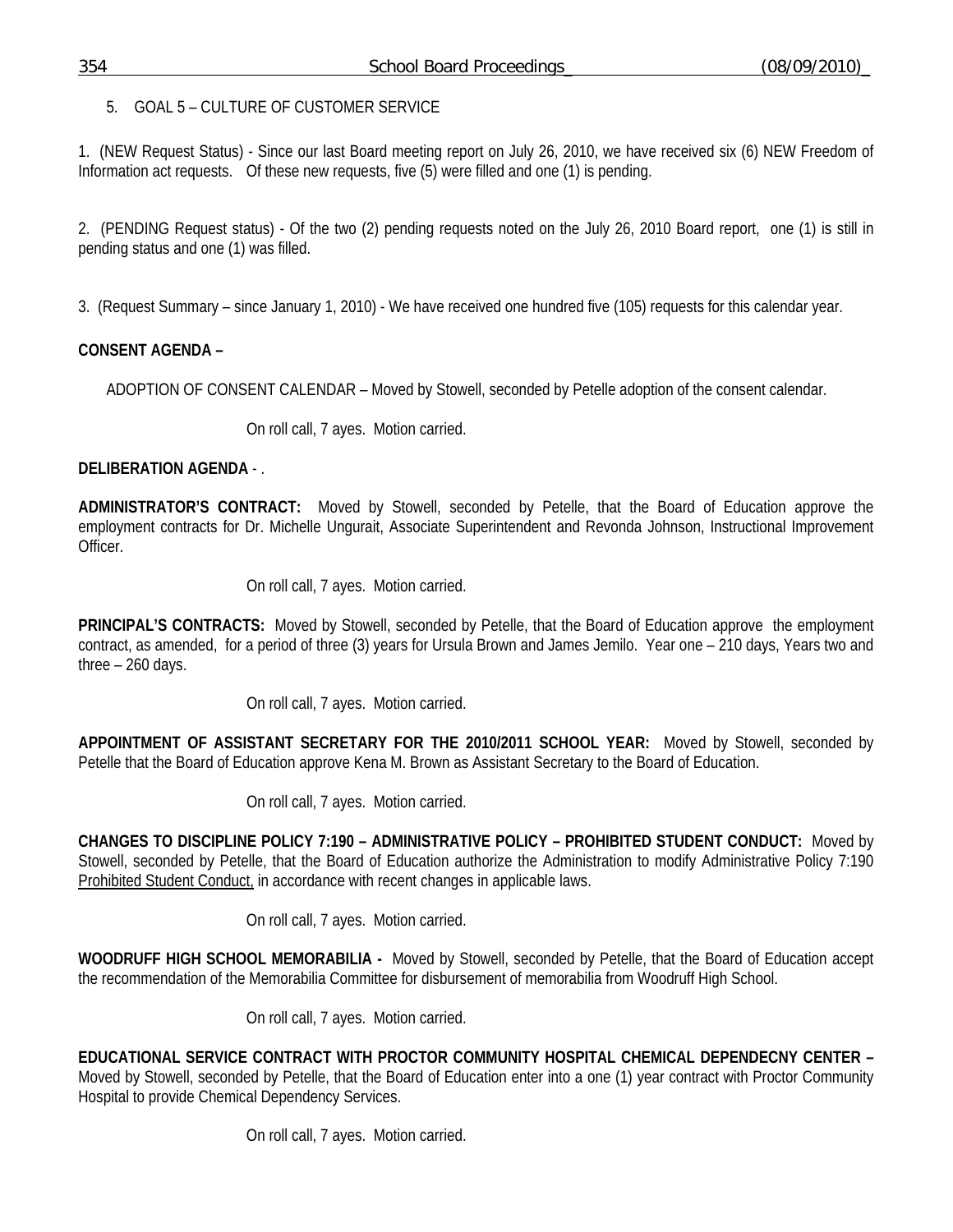5. GOAL 5 – CULTURE OF CUSTOMER SERVICE

1. (NEW Request Status) - Since our last Board meeting report on July 26, 2010, we have received six (6) NEW Freedom of Information act requests. Of these new requests, five (5) were filled and one (1) is pending.

2. (PENDING Request status) - Of the two (2) pending requests noted on the July 26, 2010 Board report, one (1) is still in pending status and one (1) was filled.

3. (Request Summary – since January 1, 2010) - We have received one hundred five (105) requests for this calendar year.

## **CONSENT AGENDA –**

ADOPTION OF CONSENT CALENDAR – Moved by Stowell, seconded by Petelle adoption of the consent calendar.

On roll call, 7 ayes. Motion carried.

## **DELIBERATION AGENDA** - .

**ADMINISTRATOR'S CONTRACT:** Moved by Stowell, seconded by Petelle, that the Board of Education approve the employment contracts for Dr. Michelle Ungurait, Associate Superintendent and Revonda Johnson, Instructional Improvement Officer.

On roll call, 7 ayes. Motion carried.

**PRINCIPAL'S CONTRACTS:** Moved by Stowell, seconded by Petelle, that the Board of Education approve the employment contract, as amended, for a period of three (3) years for Ursula Brown and James Jemilo. Year one – 210 days, Years two and three – 260 days.

On roll call, 7 ayes. Motion carried.

**APPOINTMENT OF ASSISTANT SECRETARY FOR THE 2010/2011 SCHOOL YEAR:** Moved by Stowell, seconded by Petelle that the Board of Education approve Kena M. Brown as Assistant Secretary to the Board of Education.

On roll call, 7 ayes. Motion carried.

**CHANGES TO DISCIPLINE POLICY 7:190 – ADMINISTRATIVE POLICY – PROHIBITED STUDENT CONDUCT:** Moved by Stowell, seconded by Petelle, that the Board of Education authorize the Administration to modify Administrative Policy 7:190 Prohibited Student Conduct, in accordance with recent changes in applicable laws.

On roll call, 7 ayes. Motion carried.

**WOODRUFF HIGH SCHOOL MEMORABILIA -** Moved by Stowell, seconded by Petelle, that the Board of Education accept the recommendation of the Memorabilia Committee for disbursement of memorabilia from Woodruff High School.

On roll call, 7 ayes. Motion carried.

**EDUCATIONAL SERVICE CONTRACT WITH PROCTOR COMMUNITY HOSPITAL CHEMICAL DEPENDECNY CENTER –**  Moved by Stowell, seconded by Petelle, that the Board of Education enter into a one (1) year contract with Proctor Community Hospital to provide Chemical Dependency Services.

On roll call, 7 ayes. Motion carried.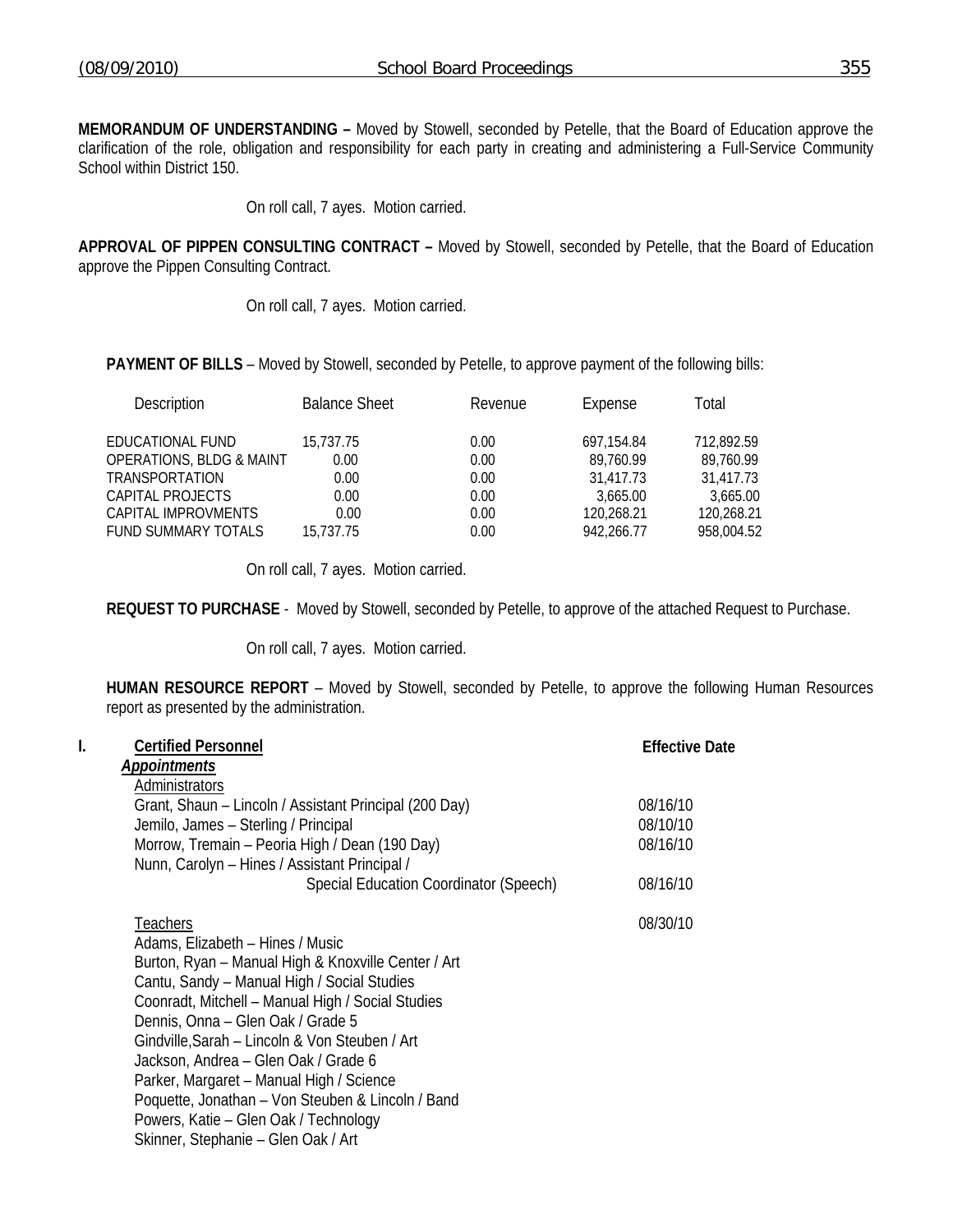**MEMORANDUM OF UNDERSTANDING –** Moved by Stowell, seconded by Petelle, that the Board of Education approve the clarification of the role, obligation and responsibility for each party in creating and administering a Full-Service Community School within District 150.

On roll call, 7 ayes. Motion carried.

**APPROVAL OF PIPPEN CONSULTING CONTRACT –** Moved by Stowell, seconded by Petelle, that the Board of Education approve the Pippen Consulting Contract.

On roll call, 7 ayes. Motion carried.

**PAYMENT OF BILLS** – Moved by Stowell, seconded by Petelle, to approve payment of the following bills:

| <b>Description</b>                  | <b>Balance Sheet</b> | Revenue | Expense    | Total      |
|-------------------------------------|----------------------|---------|------------|------------|
| EDUCATIONAL FUND                    | 15,737.75            | 0.00    | 697.154.84 | 712,892.59 |
| <b>OPERATIONS, BLDG &amp; MAINT</b> | 0.00                 | 0.00    | 89,760.99  | 89.760.99  |
| TRANSPORTATION                      | 0.00                 | 0.00    | 31,417.73  | 31,417.73  |
| CAPITAL PROJECTS                    | 0.00                 | 0.00    | 3.665.00   | 3,665.00   |
| CAPITAL IMPROVMENTS                 | 0.00                 | 0.00    | 120,268.21 | 120,268.21 |
| <b>FUND SUMMARY TOTALS</b>          | 15.737.75            | 0.00    | 942,266.77 | 958.004.52 |

On roll call, 7 ayes. Motion carried.

**REQUEST TO PURCHASE** - Moved by Stowell, seconded by Petelle, to approve of the attached Request to Purchase.

On roll call, 7 ayes. Motion carried.

**HUMAN RESOURCE REPORT** – Moved by Stowell, seconded by Petelle, to approve the following Human Resources report as presented by the administration.

| I. | <b>Certified Personnel</b><br><b>Appointments</b><br>Administrators                                                                                                                                                                                                                                                                                                                                                                                                                                                            | <b>Effective Date</b> |
|----|--------------------------------------------------------------------------------------------------------------------------------------------------------------------------------------------------------------------------------------------------------------------------------------------------------------------------------------------------------------------------------------------------------------------------------------------------------------------------------------------------------------------------------|-----------------------|
|    | Grant, Shaun - Lincoln / Assistant Principal (200 Day)                                                                                                                                                                                                                                                                                                                                                                                                                                                                         | 08/16/10              |
|    | Jemilo, James - Sterling / Principal                                                                                                                                                                                                                                                                                                                                                                                                                                                                                           | 08/10/10              |
|    | Morrow, Tremain - Peoria High / Dean (190 Day)<br>Nunn, Carolyn - Hines / Assistant Principal /                                                                                                                                                                                                                                                                                                                                                                                                                                | 08/16/10              |
|    | Special Education Coordinator (Speech)                                                                                                                                                                                                                                                                                                                                                                                                                                                                                         | 08/16/10              |
|    | <b>Teachers</b><br>Adams, Elizabeth - Hines / Music<br>Burton, Ryan - Manual High & Knoxville Center / Art<br>Cantu, Sandy - Manual High / Social Studies<br>Coonradt, Mitchell - Manual High / Social Studies<br>Dennis, Onna - Glen Oak / Grade 5<br>Gindville, Sarah - Lincoln & Von Steuben / Art<br>Jackson, Andrea - Glen Oak / Grade 6<br>Parker, Margaret - Manual High / Science<br>Poquette, Jonathan - Von Steuben & Lincoln / Band<br>Powers, Katie – Glen Oak / Technology<br>Skinner, Stephanie – Glen Oak / Art | 08/30/10              |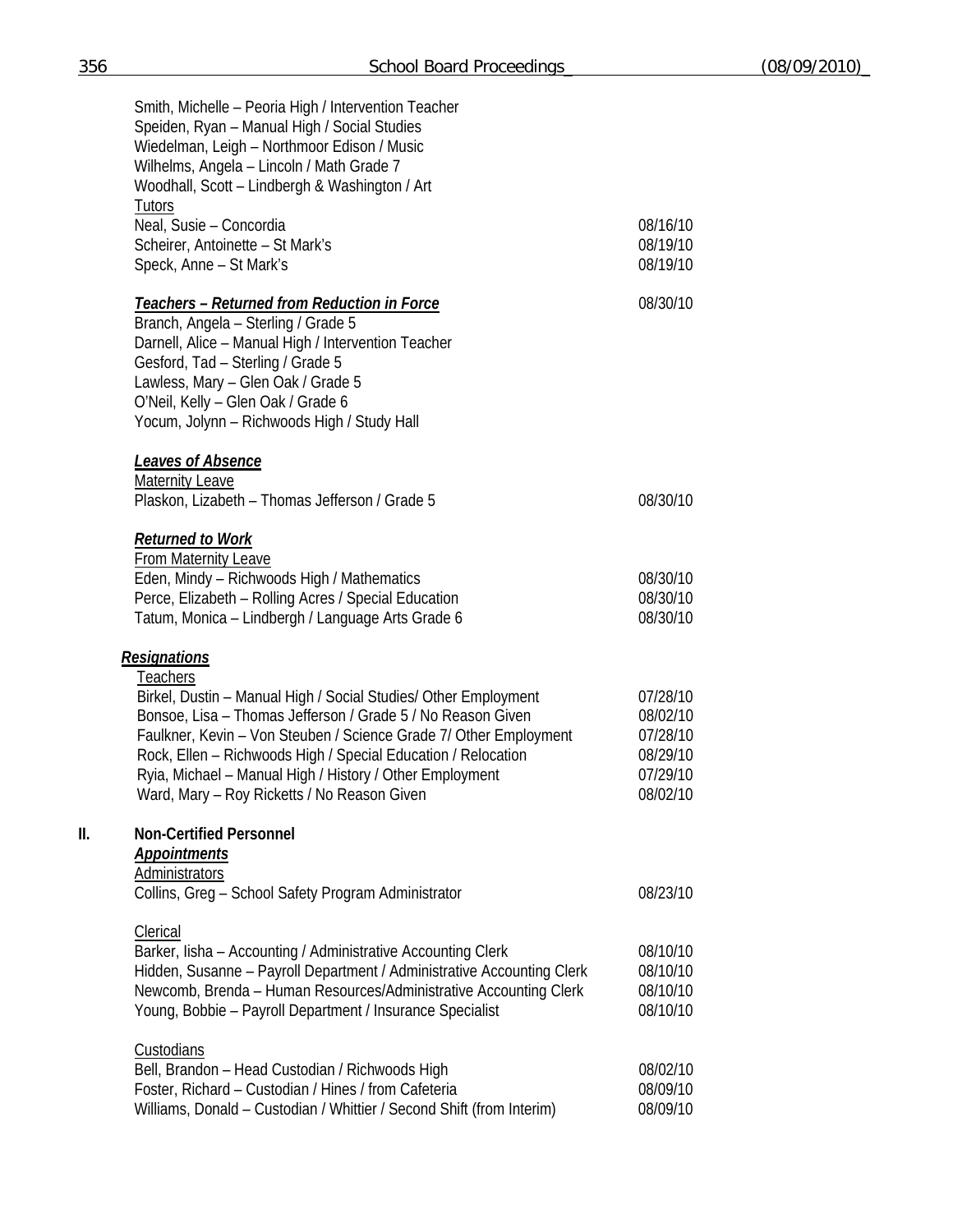|     | Smith, Michelle - Peoria High / Intervention Teacher                                     |          |
|-----|------------------------------------------------------------------------------------------|----------|
|     | Speiden, Ryan - Manual High / Social Studies                                             |          |
|     | Wiedelman, Leigh - Northmoor Edison / Music<br>Wilhelms, Angela - Lincoln / Math Grade 7 |          |
|     | Woodhall, Scott - Lindbergh & Washington / Art                                           |          |
|     | Tutors                                                                                   |          |
|     | Neal, Susie - Concordia                                                                  | 08/16/10 |
|     | Scheirer, Antoinette - St Mark's                                                         | 08/19/10 |
|     | Speck, Anne - St Mark's                                                                  | 08/19/10 |
|     | <b>Teachers - Returned from Reduction in Force</b>                                       | 08/30/10 |
|     | Branch, Angela - Sterling / Grade 5                                                      |          |
|     | Darnell, Alice - Manual High / Intervention Teacher                                      |          |
|     | Gesford, Tad - Sterling / Grade 5                                                        |          |
|     | Lawless, Mary - Glen Oak / Grade 5                                                       |          |
|     | O'Neil, Kelly - Glen Oak / Grade 6                                                       |          |
|     | Yocum, Jolynn - Richwoods High / Study Hall                                              |          |
|     | Leaves of Absence                                                                        |          |
|     | <b>Maternity Leave</b>                                                                   |          |
|     | Plaskon, Lizabeth - Thomas Jefferson / Grade 5                                           | 08/30/10 |
|     | <b>Returned to Work</b>                                                                  |          |
|     | <b>From Maternity Leave</b>                                                              |          |
|     | Eden, Mindy - Richwoods High / Mathematics                                               | 08/30/10 |
|     | Perce, Elizabeth - Rolling Acres / Special Education                                     | 08/30/10 |
|     | Tatum, Monica - Lindbergh / Language Arts Grade 6                                        | 08/30/10 |
|     | <b>Resignations</b>                                                                      |          |
|     | Teachers                                                                                 |          |
|     | Birkel, Dustin - Manual High / Social Studies/ Other Employment                          | 07/28/10 |
|     | Bonsoe, Lisa - Thomas Jefferson / Grade 5 / No Reason Given                              | 08/02/10 |
|     | Faulkner, Kevin - Von Steuben / Science Grade 7/ Other Employment                        | 07/28/10 |
|     | Rock, Ellen - Richwoods High / Special Education / Relocation                            | 08/29/10 |
|     | Ryia, Michael - Manual High / History / Other Employment                                 | 07/29/10 |
|     | Ward, Mary - Roy Ricketts / No Reason Given                                              | 08/02/10 |
| II. | <b>Non-Certified Personnel</b>                                                           |          |
|     | <b>Appointments</b>                                                                      |          |
|     | <b>Administrators</b>                                                                    |          |
|     | Collins, Greg - School Safety Program Administrator                                      | 08/23/10 |
|     | <b>Clerical</b>                                                                          |          |
|     | Barker, Iisha - Accounting / Administrative Accounting Clerk                             | 08/10/10 |
|     | Hidden, Susanne - Payroll Department / Administrative Accounting Clerk                   | 08/10/10 |
|     | Newcomb, Brenda - Human Resources/Administrative Accounting Clerk                        | 08/10/10 |
|     | Young, Bobbie - Payroll Department / Insurance Specialist                                | 08/10/10 |
|     | <b>Custodians</b>                                                                        |          |
|     | Bell, Brandon - Head Custodian / Richwoods High                                          | 08/02/10 |
|     | Foster, Richard - Custodian / Hines / from Cafeteria                                     | 08/09/10 |
|     | Williams, Donald - Custodian / Whittier / Second Shift (from Interim)                    | 08/09/10 |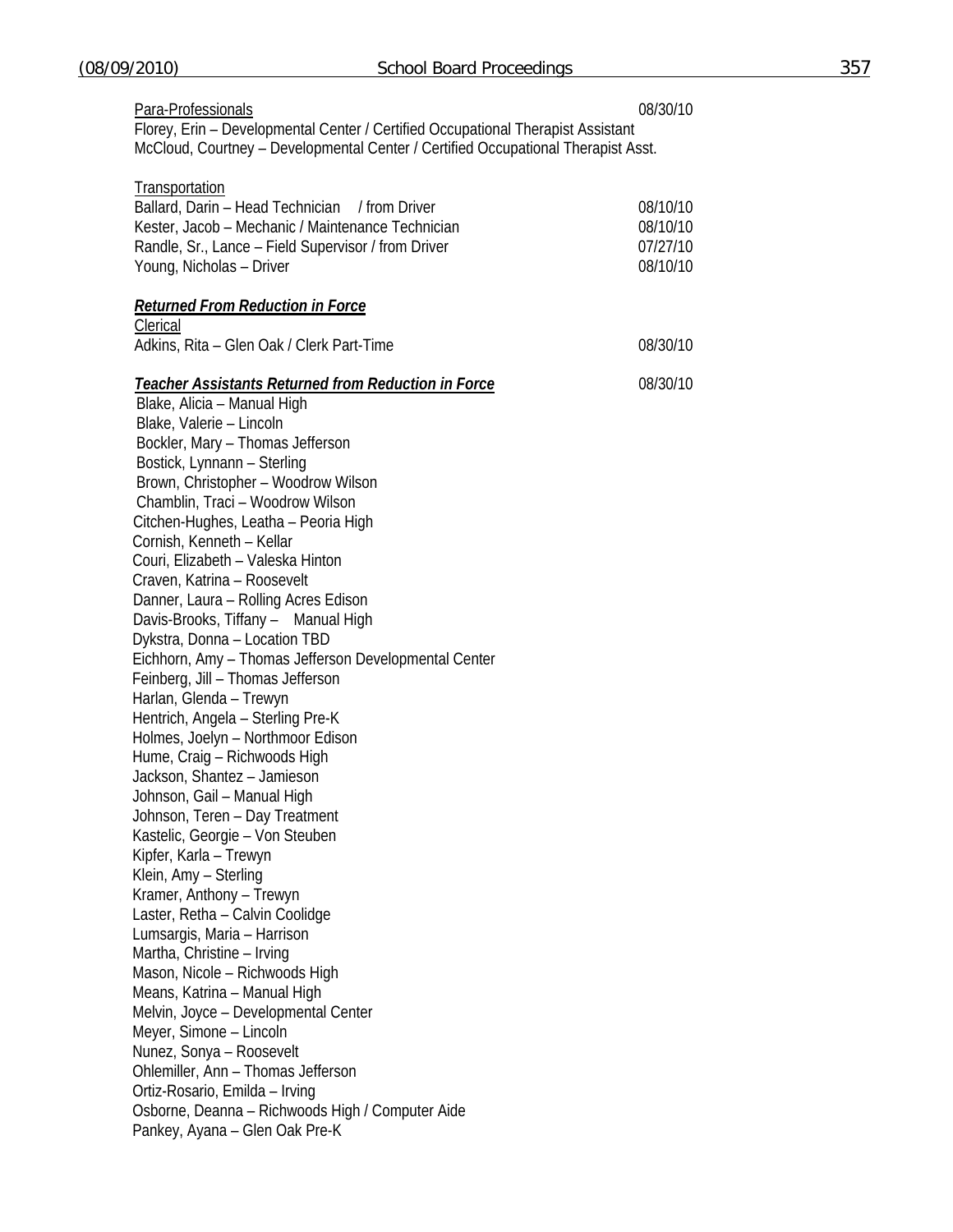| Para-Professionals                                                                                                                                                    | 08/30/10 |
|-----------------------------------------------------------------------------------------------------------------------------------------------------------------------|----------|
| Florey, Erin - Developmental Center / Certified Occupational Therapist Assistant<br>McCloud, Courtney - Developmental Center / Certified Occupational Therapist Asst. |          |
| <b>Transportation</b>                                                                                                                                                 |          |
| Ballard, Darin - Head Technician / from Driver                                                                                                                        | 08/10/10 |
| Kester, Jacob - Mechanic / Maintenance Technician                                                                                                                     | 08/10/10 |
| Randle, Sr., Lance - Field Supervisor / from Driver                                                                                                                   | 07/27/10 |
| Young, Nicholas - Driver                                                                                                                                              | 08/10/10 |
| <b>Returned From Reduction in Force</b>                                                                                                                               |          |
| Clerical                                                                                                                                                              |          |
| Adkins, Rita - Glen Oak / Clerk Part-Time                                                                                                                             | 08/30/10 |
| <b>Teacher Assistants Returned from Reduction in Force</b>                                                                                                            | 08/30/10 |
| Blake, Alicia - Manual High                                                                                                                                           |          |
| Blake, Valerie - Lincoln                                                                                                                                              |          |
| Bockler, Mary - Thomas Jefferson                                                                                                                                      |          |
| Bostick, Lynnann - Sterling                                                                                                                                           |          |
| Brown, Christopher - Woodrow Wilson                                                                                                                                   |          |
| Chamblin, Traci - Woodrow Wilson                                                                                                                                      |          |
| Citchen-Hughes, Leatha - Peoria High                                                                                                                                  |          |
| Cornish, Kenneth - Kellar                                                                                                                                             |          |
| Couri, Elizabeth - Valeska Hinton                                                                                                                                     |          |
| Craven, Katrina - Roosevelt                                                                                                                                           |          |
| Danner, Laura - Rolling Acres Edison                                                                                                                                  |          |
| Davis-Brooks, Tiffany - Manual High                                                                                                                                   |          |
| Dykstra, Donna - Location TBD                                                                                                                                         |          |
| Eichhorn, Amy - Thomas Jefferson Developmental Center                                                                                                                 |          |
| Feinberg, Jill - Thomas Jefferson                                                                                                                                     |          |
| Harlan, Glenda - Trewyn                                                                                                                                               |          |
| Hentrich, Angela - Sterling Pre-K                                                                                                                                     |          |
| Holmes, Joelyn - Northmoor Edison                                                                                                                                     |          |
| Hume, Craig - Richwoods High                                                                                                                                          |          |
| Jackson, Shantez - Jamieson                                                                                                                                           |          |
| Johnson, Gail - Manual High                                                                                                                                           |          |
| Johnson, Teren - Day Treatment                                                                                                                                        |          |
| Kastelic, Georgie - Von Steuben                                                                                                                                       |          |
| Kipfer, Karla - Trewyn                                                                                                                                                |          |
| Klein, Amy - Sterling                                                                                                                                                 |          |
| Kramer, Anthony - Trewyn                                                                                                                                              |          |
| Laster, Retha - Calvin Coolidge                                                                                                                                       |          |
| Lumsargis, Maria - Harrison                                                                                                                                           |          |
| Martha, Christine - Irving                                                                                                                                            |          |
| Mason, Nicole - Richwoods High                                                                                                                                        |          |
|                                                                                                                                                                       |          |
| Means, Katrina - Manual High                                                                                                                                          |          |
| Melvin, Joyce - Developmental Center                                                                                                                                  |          |
| Meyer, Simone - Lincoln                                                                                                                                               |          |
| Nunez, Sonya - Roosevelt                                                                                                                                              |          |
| Ohlemiller, Ann - Thomas Jefferson                                                                                                                                    |          |
| Ortiz-Rosario, Emilda - Irving                                                                                                                                        |          |
| Osborne, Deanna - Richwoods High / Computer Aide                                                                                                                      |          |
| Pankey, Ayana - Glen Oak Pre-K                                                                                                                                        |          |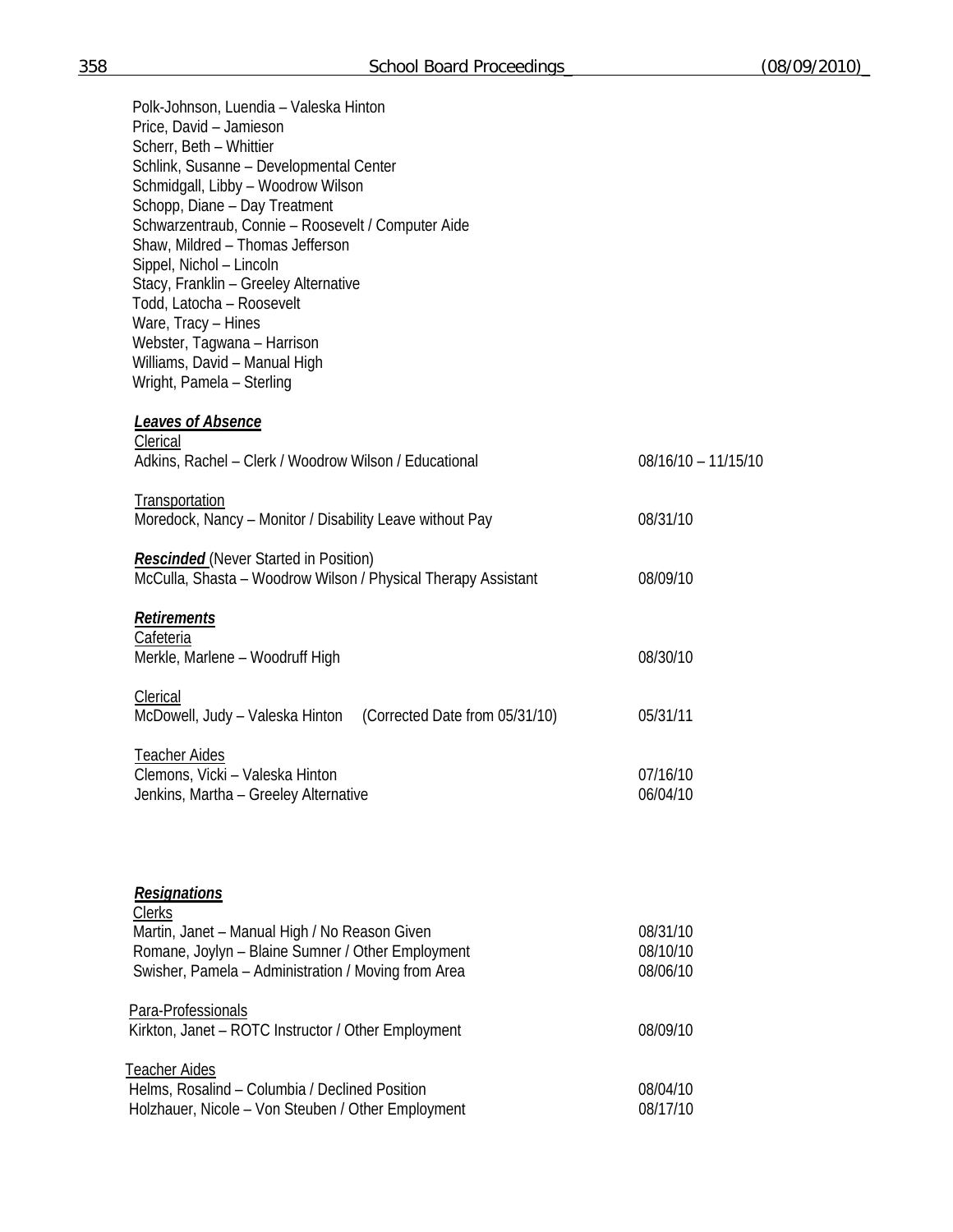| Polk-Johnson, Luendia - Valeska Hinton<br>Price, David - Jamieson<br>Scherr, Beth - Whittier<br>Schlink, Susanne - Developmental Center<br>Schmidgall, Libby - Woodrow Wilson<br>Schopp, Diane - Day Treatment<br>Schwarzentraub, Connie - Roosevelt / Computer Aide<br>Shaw, Mildred - Thomas Jefferson<br>Sippel, Nichol - Lincoln<br>Stacy, Franklin - Greeley Alternative<br>Todd, Latocha - Roosevelt<br>Ware, Tracy - Hines<br>Webster, Tagwana - Harrison<br>Williams, David - Manual High<br>Wright, Pamela - Sterling |                       |
|--------------------------------------------------------------------------------------------------------------------------------------------------------------------------------------------------------------------------------------------------------------------------------------------------------------------------------------------------------------------------------------------------------------------------------------------------------------------------------------------------------------------------------|-----------------------|
| <b>Leaves of Absence</b>                                                                                                                                                                                                                                                                                                                                                                                                                                                                                                       |                       |
| Clerical<br>Adkins, Rachel - Clerk / Woodrow Wilson / Educational                                                                                                                                                                                                                                                                                                                                                                                                                                                              | $08/16/10 - 11/15/10$ |
| Transportation<br>Moredock, Nancy - Monitor / Disability Leave without Pay                                                                                                                                                                                                                                                                                                                                                                                                                                                     | 08/31/10              |
| <b>Rescinded</b> (Never Started in Position)<br>McCulla, Shasta - Woodrow Wilson / Physical Therapy Assistant                                                                                                                                                                                                                                                                                                                                                                                                                  | 08/09/10              |
| Retirements<br>Cafeteria                                                                                                                                                                                                                                                                                                                                                                                                                                                                                                       |                       |
| Merkle, Marlene - Woodruff High                                                                                                                                                                                                                                                                                                                                                                                                                                                                                                | 08/30/10              |
| Clerical<br>McDowell, Judy - Valeska Hinton (Corrected Date from 05/31/10)                                                                                                                                                                                                                                                                                                                                                                                                                                                     | 05/31/11              |
| <b>Teacher Aides</b><br>Clemons, Vicki - Valeska Hinton                                                                                                                                                                                                                                                                                                                                                                                                                                                                        |                       |
| Jenkins, Martha - Greeley Alternative                                                                                                                                                                                                                                                                                                                                                                                                                                                                                          | 07/16/10<br>06/04/10  |
|                                                                                                                                                                                                                                                                                                                                                                                                                                                                                                                                |                       |
| <b>Resignations</b><br><b>Clerks</b>                                                                                                                                                                                                                                                                                                                                                                                                                                                                                           |                       |
| Martin, Janet - Manual High / No Reason Given<br>Romane, Joylyn - Blaine Sumner / Other Employment                                                                                                                                                                                                                                                                                                                                                                                                                             | 08/31/10<br>08/10/10  |
| Swisher, Pamela - Administration / Moving from Area                                                                                                                                                                                                                                                                                                                                                                                                                                                                            | 08/06/10              |
| Para-Professionals<br>Kirkton, Janet - ROTC Instructor / Other Employment                                                                                                                                                                                                                                                                                                                                                                                                                                                      | 08/09/10              |
| <b>Teacher Aides</b>                                                                                                                                                                                                                                                                                                                                                                                                                                                                                                           |                       |
| Helms, Rosalind - Columbia / Declined Position<br>Holzhauer, Nicole - Von Steuben / Other Employment                                                                                                                                                                                                                                                                                                                                                                                                                           | 08/04/10<br>08/17/10  |
|                                                                                                                                                                                                                                                                                                                                                                                                                                                                                                                                |                       |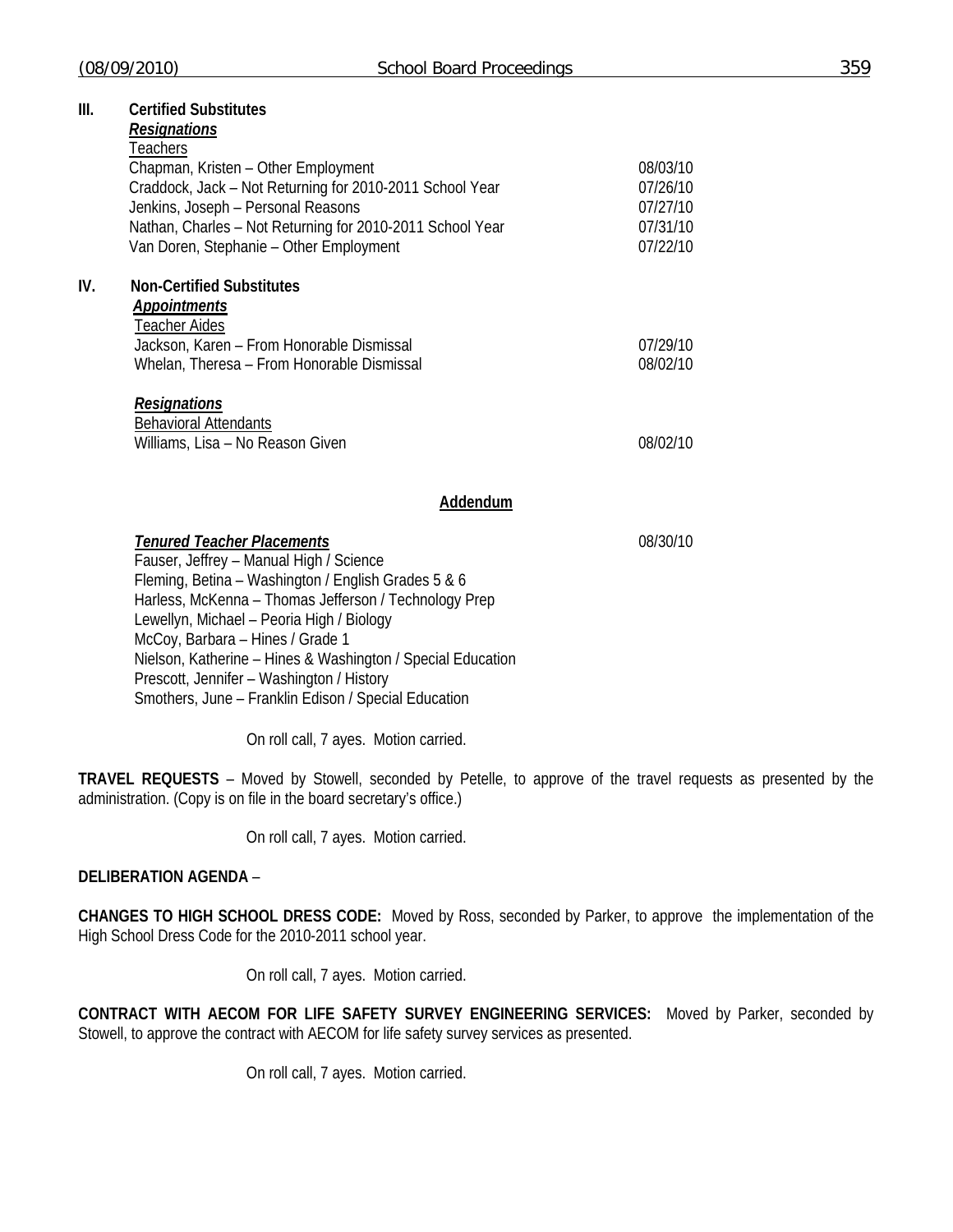#### **III. Certified Substitutes**

# *Resignations*

|     | Teachers                                                  |          |
|-----|-----------------------------------------------------------|----------|
|     | Chapman, Kristen - Other Employment                       | 08/03/10 |
|     | Craddock, Jack - Not Returning for 2010-2011 School Year  | 07/26/10 |
|     | Jenkins, Joseph - Personal Reasons                        | 07/27/10 |
|     | Nathan, Charles - Not Returning for 2010-2011 School Year | 07/31/10 |
|     | Van Doren, Stephanie – Other Employment                   | 07/22/10 |
| IV. | <b>Non-Certified Substitutes</b>                          |          |
|     | Appointments                                              |          |
|     | <b>Teacher Aides</b>                                      |          |
|     | Jackson, Karen - From Honorable Dismissal                 | 07/29/10 |
|     | Whelan, Theresa - From Honorable Dismissal                | 08/02/10 |
|     | <b>Resignations</b>                                       |          |
|     | <b>Behavioral Attendants</b>                              |          |
|     | Williams, Lisa - No Reason Given                          | 08/02/10 |

#### **Addendum**

*Tenured Teacher Placements* 08/30/10 Fauser, Jeffrey – Manual High / Science Fleming, Betina – Washington / English Grades 5 & 6 Harless, McKenna – Thomas Jefferson / Technology Prep Lewellyn, Michael – Peoria High / Biology McCoy, Barbara – Hines / Grade 1 Nielson, Katherine – Hines & Washington / Special Education Prescott, Jennifer – Washington / History Smothers, June – Franklin Edison / Special Education

On roll call, 7 ayes. Motion carried.

**TRAVEL REQUESTS** – Moved by Stowell, seconded by Petelle, to approve of the travel requests as presented by the administration. (Copy is on file in the board secretary's office.)

On roll call, 7 ayes. Motion carried.

## **DELIBERATION AGENDA** –

**CHANGES TO HIGH SCHOOL DRESS CODE:** Moved by Ross, seconded by Parker, to approve the implementation of the High School Dress Code for the 2010-2011 school year.

On roll call, 7 ayes. Motion carried.

**CONTRACT WITH AECOM FOR LIFE SAFETY SURVEY ENGINEERING SERVICES:** Moved by Parker, seconded by Stowell, to approve the contract with AECOM for life safety survey services as presented.

On roll call, 7 ayes. Motion carried.